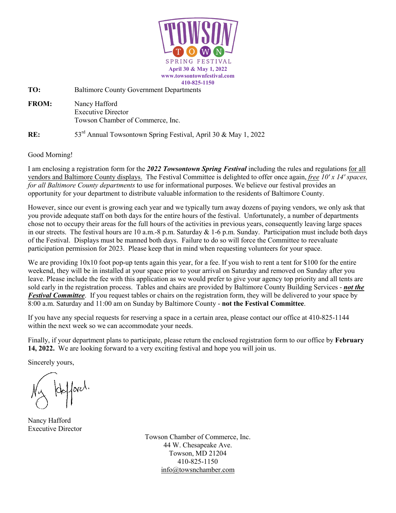

**TO:** Baltimore County Government Departments

**FROM:** Nancy Hafford Executive Director Towson Chamber of Commerce, Inc.

**RE:** 53<sup>rd</sup> Annual Towsontown Spring Festival, April 30 & May 1, 2022

Good Morning!

I am enclosing a registration form for the *2022 Towsontown Spring Festival* including the rules and regulations for all vendors and Baltimore County displays. The Festival Committee is delighted to offer once again, *free 10' x 14' spaces, for all Baltimore County departments* to use for informational purposes. We believe our festival provides an opportunity for your department to distribute valuable information to the residents of Baltimore County.

However, since our event is growing each year and we typically turn away dozens of paying vendors, we only ask that you provide adequate staff on both days for the entire hours of the festival. Unfortunately, a number of departments chose not to occupy their areas for the full hours of the activities in previous years, consequently leaving large spaces in our streets. The festival hours are 10 a.m.-8 p.m. Saturday & 1-6 p.m. Sunday. Participation must include both days of the Festival. Displays must be manned both days. Failure to do so will force the Committee to reevaluate participation permission for 2023. Please keep that in mind when requesting volunteers for your space.

We are providing  $10x10$  foot pop-up tents again this year, for a fee. If you wish to rent a tent for \$100 for the entire weekend, they will be in installed at your space prior to your arrival on Saturday and removed on Sunday after you leave. Please include the fee with this application as we would prefer to give your agency top priority and all tents are sold early in the registration process. Tables and chairs are provided by Baltimore County Building Services - *not the Festival Committee*. If you request tables or chairs on the registration form, they will be delivered to your space by 8:00 a.m. Saturday and 11:00 am on Sunday by Baltimore County - **not the Festival Committee**.

If you have any special requests for reserving a space in a certain area, please contact our office at 410-825-1144 within the next week so we can accommodate your needs.

Finally, if your department plans to participate, please return the enclosed registration form to our office by **February 14, 2022.** We are looking forward to a very exciting festival and hope you will join us.

Sincerely yours,

 $\det\left\{\begin{array}{c} \mathbf{r} \end{array}\right\}$ 

Nancy Hafford Executive Director

Towson Chamber of Commerce, Inc. 44 W. Chesapeake Ave. Towson, MD 21204 410-825-1150 [info@towsnchamber.com](mailto:info@towsnchamber.com)